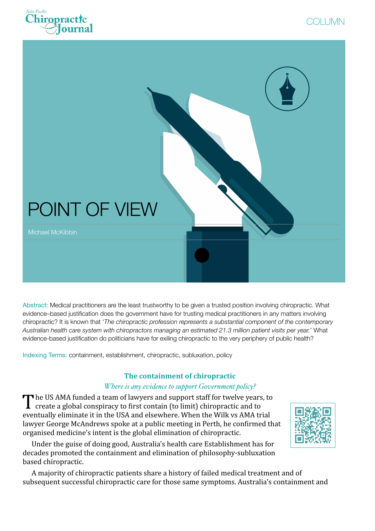





Abstract: Medical practitioners are the least trustworthy to be given a trusted position involving chiropractic. What evidence–based justification does the government have for trusting medical practitioners in any matters involving chiropractic? It is known that '*The chiropractic profession represents a substantial component of the contemporary Australian health care system with chiropractors managing an estimated 21.3 million patient visits per year.*' What evidence-based justification do politicians have for exiling chiropractic to the very periphery of public health?

Indexing Terms: containment, establishment, chiropractic, subluxation, policy

# **The containment of chiropractic**

### *Where is any evidence to support Government policy?*

The US AMA funded a team of lawyers and support staff for twelve years, to create a global conspiracy to first contain (to limit) chiropractic and to eventually eliminate it in the USA and elsewhere. When the Wilk vs AMA trial lawyer George McAndrews spoke at a public meeting in Perth, he confirmed that organised medicine's intent is the global elimination of chiropractic.

Under the guise of doing good, Australia's health care Establishment has for decades promoted the containment and elimination of philosophy-subluxation based chiropractic.

ww.apcj [columns-mckibbin/](http://www.apcj.net/columns-mckibbin/#Mckibbincontainment) #Mc**ekibbincontain** [ent](http://www.apcj.net/columns-mckibbin/#Mckibbincontainment)

A majority of chiropractic patients share a history of failed medical treatment and of subsequent successful chiropractic care for those same symptoms. Australia's containment and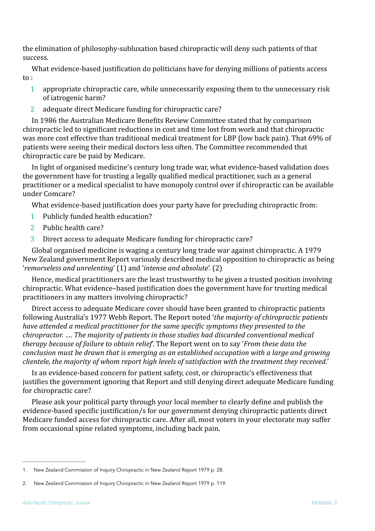the elimination of philosophy-subluxation based chiropractic will deny such patients of that success.

What evidence-based justification do politicians have for denying millions of patients access  $to:$ 

- 1 appropriate chiropractic care, while unnecessarily exposing them to the unnecessary risk of iatrogenic harm?
- 2 adequate direct Medicare funding for chiropractic care?

In 1986 the Australian Medicare Benefits Review Committee stated that by comparison chiropractic led to significant reductions in cost and time lost from work and that chiropractic was more cost effective than traditional medical treatment for LBP (low back pain). That 69% of patients were seeing their medical doctors less often. The Committee recommended that chiropractic care be paid by Medicare.

In light of organised medicine's century long trade war, what evidence-based validation does the government have for trusting a legally qualified medical practitioner, such as a general practitioner or a medical specialist to have monopoly control over if chiropractic can be available under Comcare?

What evidence-based justification does your party have for precluding chiropractic from:

- 1 Publicly funded health education?
- 2 Public health care?
- <span id="page-1-3"></span><span id="page-1-2"></span>3 Direct access to adequate Medicare funding for chiropractic care?

Global organised medicine is waging a century long trade war against chiropractic. A 1979 New Zealand government Report variously described medical opposition to chiropractic as being '*remorseless and unrelenting'* ([1](#page-1-0)) and '*intense and absolute'*. [\(2](#page-1-1))

Hence, medical practitioners are the least trustworthy to be given a trusted position involving chiropractic. What evidence-based justification does the government have for trusting medical practitioners in any matters involving chiropractic?

Direct access to adequate Medicare cover should have been granted to chiropractic patients following Australia's 1977 Webb Report. The Report noted '*the majority of chiropractic patients have attended a medical practitioner for the same specific symptoms they presented to the chiropractor.* .... The majority of patients in those studies had discarded conventional medical *therapy because of failure to obtain relief*. The Report went on to say '*From these data the conclusion must be drawn that is emerging as an established occupation with a large and growing clientele, the majority of whom report high levels of satisfaction with the treatment they received.'* 

Is an evidence-based concern for patient safety, cost, or chiropractic's effectiveness that justifies the government ignoring that Report and still denying direct adequate Medicare funding for chiropractic care?

Please ask your political party through your local member to clearly define and publish the evidence-based specific justification/s for our government denying chiropractic patients direct Medicare funded access for chiropractic care. After all, most voters in your electorate may suffer from occasional spine related symptoms, including back pain.

<span id="page-1-0"></span>[<sup>1</sup>](#page-1-2). New Zealand Commission of Inquiry Chiropractic in New Zealand Report 1979 p. 28.

<span id="page-1-1"></span>[<sup>2</sup>](#page-1-3). New Zealand Commission of Inquiry Chiropractic in New Zealand Report 1979 p. 119.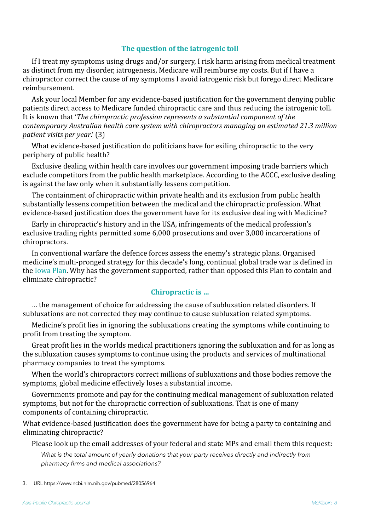## **The question of the iatrogenic toll**

If I treat my symptoms using drugs and/or surgery, I risk harm arising from medical treatment as distinct from my disorder, iatrogenesis, Medicare will reimburse my costs. But if I have a chiropractor correct the cause of my symptoms I avoid iatrogenic risk but forego direct Medicare reimbursement.

Ask your local Member for any evidence-based justification for the government denying public patients direct access to Medicare funded chiropractic care and thus reducing the iatrogenic toll. It is known that '*The chiropractic profession represents a substantial component of the contemporary Australian health care system with chiropractors managing an estimated 21.3 million patient visits per year.'* ([3](#page-2-0))

<span id="page-2-1"></span>What evidence-based justification do politicians have for exiling chiropractic to the very periphery of public health?

Exclusive dealing within health care involves our government imposing trade barriers which exclude competitors from the public health marketplace. According to the ACCC, exclusive dealing is against the law only when it substantially lessens competition.

The containment of chiropractic within private health and its exclusion from public health substantially lessens competition between the medical and the chiropractic profession. What evidence-based justification does the government have for its exclusive dealing with Medicine?

Early in chiropractic's history and in the USA, infringements of the medical profession's exclusive trading rights permitted some 6,000 prosecutions and over 3,000 incarcerations of chiropractors.

In conventional warfare the defence forces assess the enemy's strategic plans. Organised medicine's multi-pronged strategy for this decade's long, continual global trade war is defined in the Iowa Plan. Why has the government supported, rather than opposed this Plan to contain and eliminate chiropractic?

#### **Chiropractic** is ...

... the management of choice for addressing the cause of subluxation related disorders. If subluxations are not corrected they may continue to cause subluxation related symptoms.

Medicine's profit lies in ignoring the subluxations creating the symptoms while continuing to profit from treating the symptom.

Great profit lies in the worlds medical practitioners ignoring the subluxation and for as long as the subluxation causes symptoms to continue using the products and services of multinational pharmacy companies to treat the symptoms.

When the world's chiropractors correct millions of subluxations and those bodies remove the symptoms, global medicine effectively loses a substantial income.

Governments promote and pay for the continuing medical management of subluxation related symptoms, but not for the chiropractic correction of subluxations. That is one of many components of containing chiropractic.

What evidence-based justification does the government have for being a party to containing and eliminating chiropractic?

Please look up the email addresses of your federal and state MPs and email them this request:

*What is the total amount of yearly donations that your party receives directly and indirectly from pharmacy firms and medical associations?* 

<span id="page-2-0"></span>[<sup>3</sup>](#page-2-1). URL https://www.ncbi.nlm.nih.gov/pubmed/28056964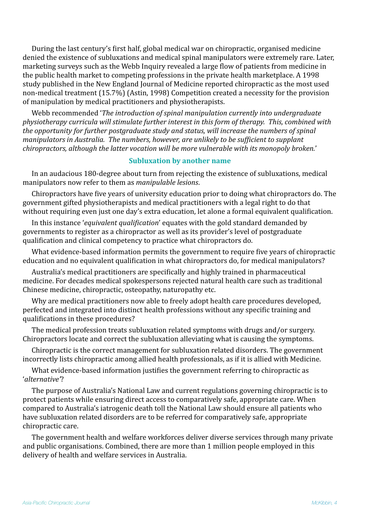During the last century's first half, global medical war on chiropractic, organised medicine denied the existence of subluxations and medical spinal manipulators were extremely rare. Later, marketing surveys such as the Webb Inquiry revealed a large flow of patients from medicine in the public health market to competing professions in the private health marketplace. A 1998 study published in the New England Journal of Medicine reported chiropractic as the most used non-medical treatment (15.7%) (Astin, 1998) Competition created a necessity for the provision of manipulation by medical practitioners and physiotherapists.

Webb recommended *'The introduction of spinal manipulation currently into undergraduate physiotherapy curricula will stimulate further interest in this form of therapy. This, combined with the opportunity for further postgraduate study and status, will increase the numbers of spinal manipulators in Australia. The numbers, however, are unlikely to be sufficient to supplant chiropractors, although the latter vocation will be more vulnerable with its monopoly broken.'* 

#### **Subluxation by another name**

In an audacious 180-degree about turn from rejecting the existence of subluxations, medical manipulators now refer to them as *manipulable lesions*.

Chiropractors have five years of university education prior to doing what chiropractors do. The government gifted physiotherapists and medical practitioners with a legal right to do that without requiring even just one day's extra education, let alone a formal equivalent qualification.

In this instance *'equivalent qualification'* equates with the gold standard demanded by governments to register as a chiropractor as well as its provider's level of postgraduate qualification and clinical competency to practice what chiropractors do.

What evidence-based information permits the government to require five years of chiropractic education and no equivalent qualification in what chiropractors do, for medical manipulators?

Australia's medical practitioners are specifically and highly trained in pharmaceutical medicine. For decades medical spokespersons rejected natural health care such as traditional Chinese medicine, chiropractic, osteopathy, naturopathy etc.

Why are medical practitioners now able to freely adopt health care procedures developed, perfected and integrated into distinct health professions without any specific training and qualifications in these procedures?

The medical profession treats subluxation related symptoms with drugs and/or surgery. Chiropractors locate and correct the subluxation alleviating what is causing the symptoms.

Chiropractic is the correct management for subluxation related disorders. The government incorrectly lists chiropractic among allied health professionals, as if it is allied with Medicine.

What evidence-based information justifies the government referring to chiropractic as '*alternative'*?

The purpose of Australia's National Law and current regulations governing chiropractic is to protect patients while ensuring direct access to comparatively safe, appropriate care. When compared to Australia's iatrogenic death toll the National Law should ensure all patients who have subluxation related disorders are to be referred for comparatively safe, appropriate chiropractic care.

The government health and welfare workforces deliver diverse services through many private and public organisations. Combined, there are more than 1 million people employed in this delivery of health and welfare services in Australia.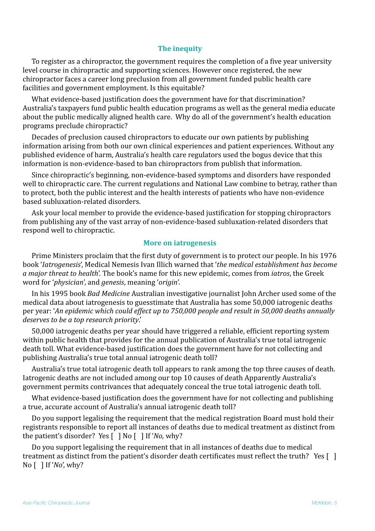## **The inequity**

To register as a chiropractor, the government requires the completion of a five year university level course in chiropractic and supporting sciences. However once registered, the new chiropractor faces a career long preclusion from all government funded public health care facilities and government employment. Is this equitable?

What evidence-based justification does the government have for that discrimination? Australia's taxpayers fund public health education programs as well as the general media educate about the public medically aligned health care. Why do all of the government's health education programs preclude chiropractic?

Decades of preclusion caused chiropractors to educate our own patients by publishing information arising from both our own clinical experiences and patient experiences. Without any published evidence of harm, Australia's health care regulators used the bogus device that this information is non-evidence-based to ban chiropractors from publish that information.

Since chiropractic's beginning, non-evidence-based symptoms and disorders have responded well to chiropractic care. The current regulations and National Law combine to betray, rather than to protect, both the public interest and the health interests of patients who have non-evidence based subluxation-related disorders.

Ask your local member to provide the evidence-based justification for stopping chiropractors from publishing any of the vast array of non-evidence-based subluxation-related disorders that respond well to chiropractic.

#### **More on iatrogenesis**

Prime Ministers proclaim that the first duty of government is to protect our people. In his 1976 book '*Iatrogenesis*', Medical Nemesis Ivan Illich warned that '*the medical establishment has become a* major threat to health'. The book's name for this new epidemic, comes from *jatros*, the Greek word for '*physician*', and *genesis*, meaning '*origin'*.

In his 1995 book *Bad Medicine* Australian investigative journalist John Archer used some of the medical data about iatrogenesis to guesstimate that Australia has some 50,000 iatrogenic deaths per vear: 'An epidemic which could effect up to 750,000 people and result in 50,000 deaths annually deserves to be a top research priority.'

50,000 iatrogenic deaths per year should have triggered a reliable, efficient reporting system within public health that provides for the annual publication of Australia's true total iatrogenic death toll. What evidence-based justification does the government have for not collecting and publishing Australia's true total annual iatrogenic death toll?

Australia's true total iatrogenic death toll appears to rank among the top three causes of death. Iatrogenic deaths are not included among our top 10 causes of death Apparently Australia's government permits contrivances that adequately conceal the true total iatrogenic death toll.

What evidence-based justification does the government have for not collecting and publishing a true, accurate account of Australia's annual iatrogenic death toll?

Do you support legalising the requirement that the medical registration Board must hold their registrants responsible to report all instances of deaths due to medical treatment as distinct from the patient's disorder? Yes  $\lceil \ \rceil$  No  $\lceil \ \rceil$  If '*No*, why?

Do you support legalising the requirement that in all instances of deaths due to medical treatment as distinct from the patient's disorder death certificates must reflect the truth? Yes  $\lceil \cdot \rceil$  $\overline{N}$ o $\overline{)}$  If '*No*', why?